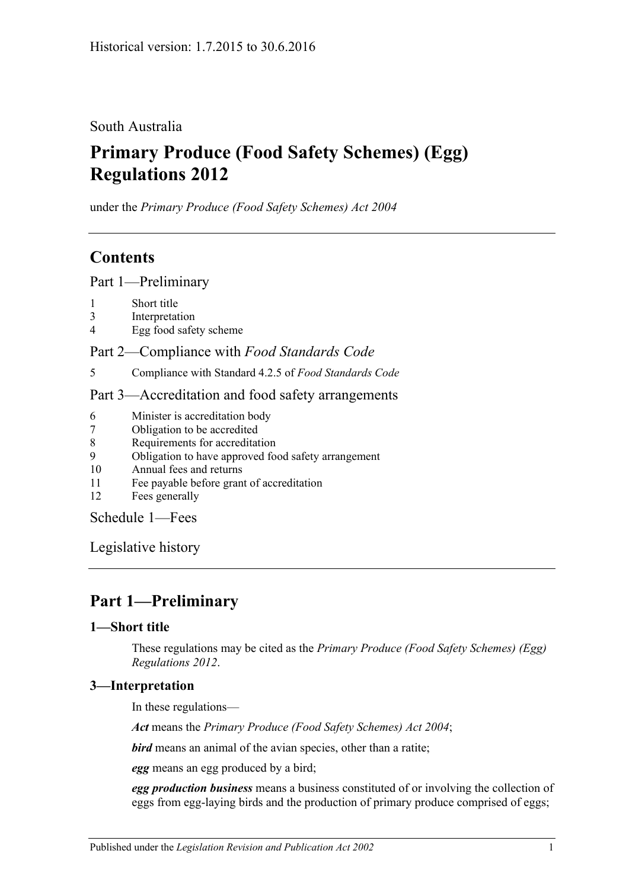South Australia

# **Primary Produce (Food Safety Schemes) (Egg) Regulations 2012**

under the *Primary Produce (Food Safety Schemes) Act 2004*

# **Contents**

Part [1—Preliminary](#page-0-0)

- 1 [Short title](#page-0-1)
- 3 [Interpretation](#page-0-2)
- 4 [Egg food safety scheme](#page-1-0)

Part 2—Compliance with *[Food Standards Code](#page-1-1)*

5 [Compliance with Standard](#page-1-2) 4.2.5 of *Food Standards Code*

### Part [3—Accreditation and food safety arrangements](#page-1-3)

- 6 [Minister is accreditation body](#page-1-4)
- 7 [Obligation to be accredited](#page-1-5)
- 8 [Requirements for accreditation](#page-1-6)
- 9 [Obligation to have approved food safety arrangement](#page-1-7)
- 10 [Annual fees and returns](#page-2-0)
- 11 [Fee payable before grant of accreditation](#page-2-1)
- 12 [Fees generally](#page-2-2)

[Schedule](#page-2-3) 1—Fees

[Legislative history](#page-3-0)

# <span id="page-0-0"></span>**Part 1—Preliminary**

## <span id="page-0-1"></span>**1—Short title**

These regulations may be cited as the *Primary Produce (Food Safety Schemes) (Egg) Regulations 2012*.

## <span id="page-0-2"></span>**3—Interpretation**

In these regulations—

*Act* means the *[Primary Produce \(Food Safety Schemes\) Act](http://www.legislation.sa.gov.au/index.aspx?action=legref&type=act&legtitle=Primary%20Produce%20(Food%20Safety%20Schemes)%20Act%202004) 2004*;

*bird* means an animal of the avian species, other than a ratite;

*egg* means an egg produced by a bird;

*egg production business* means a business constituted of or involving the collection of eggs from egg-laying birds and the production of primary produce comprised of eggs;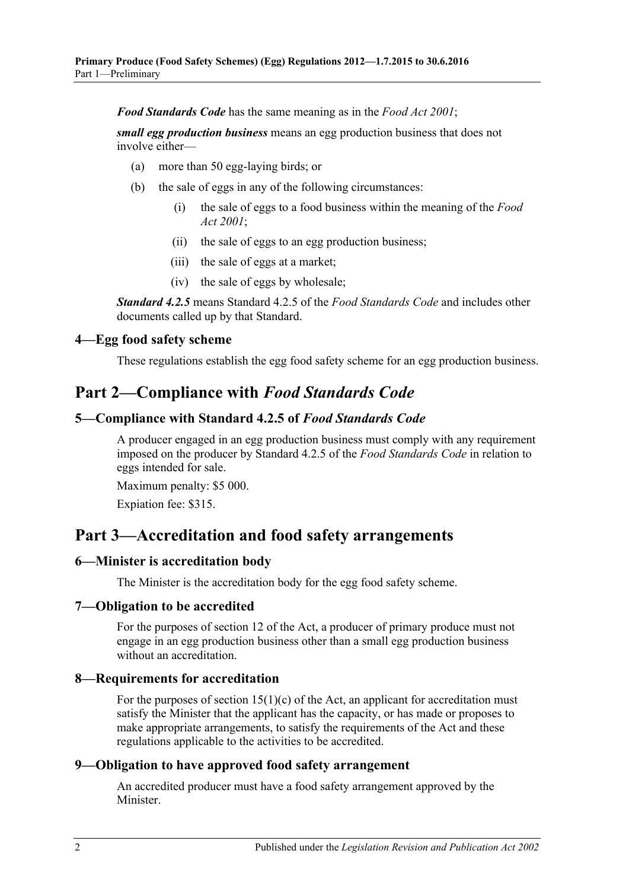*Food Standards Code* has the same meaning as in the *[Food Act](http://www.legislation.sa.gov.au/index.aspx?action=legref&type=act&legtitle=Food%20Act%202001) 2001*;

*small egg production business* means an egg production business that does not involve either—

- (a) more than 50 egg-laying birds; or
- (b) the sale of eggs in any of the following circumstances:
	- (i) the sale of eggs to a food business within the meaning of the *[Food](http://www.legislation.sa.gov.au/index.aspx?action=legref&type=act&legtitle=Food%20Act%202001)  Act [2001](http://www.legislation.sa.gov.au/index.aspx?action=legref&type=act&legtitle=Food%20Act%202001)*;
	- (ii) the sale of eggs to an egg production business;
	- (iii) the sale of eggs at a market;
	- (iv) the sale of eggs by wholesale;

*Standard 4.2.5* means Standard 4.2.5 of the *Food Standards Code* and includes other documents called up by that Standard.

#### <span id="page-1-0"></span>**4—Egg food safety scheme**

These regulations establish the egg food safety scheme for an egg production business.

## <span id="page-1-1"></span>**Part 2—Compliance with** *Food Standards Code*

#### <span id="page-1-2"></span>**5—Compliance with Standard 4.2.5 of** *Food Standards Code*

A producer engaged in an egg production business must comply with any requirement imposed on the producer by Standard 4.2.5 of the *Food Standards Code* in relation to eggs intended for sale.

Maximum penalty: \$5 000.

Expiation fee: \$315.

## <span id="page-1-3"></span>**Part 3—Accreditation and food safety arrangements**

#### <span id="page-1-4"></span>**6—Minister is accreditation body**

The Minister is the accreditation body for the egg food safety scheme.

#### <span id="page-1-5"></span>**7—Obligation to be accredited**

For the purposes of section 12 of the Act, a producer of primary produce must not engage in an egg production business other than a small egg production business without an accreditation.

#### <span id="page-1-6"></span>**8—Requirements for accreditation**

For the purposes of section  $15(1)(c)$  of the Act, an applicant for accreditation must satisfy the Minister that the applicant has the capacity, or has made or proposes to make appropriate arrangements, to satisfy the requirements of the Act and these regulations applicable to the activities to be accredited.

### <span id="page-1-7"></span>**9—Obligation to have approved food safety arrangement**

An accredited producer must have a food safety arrangement approved by the Minister.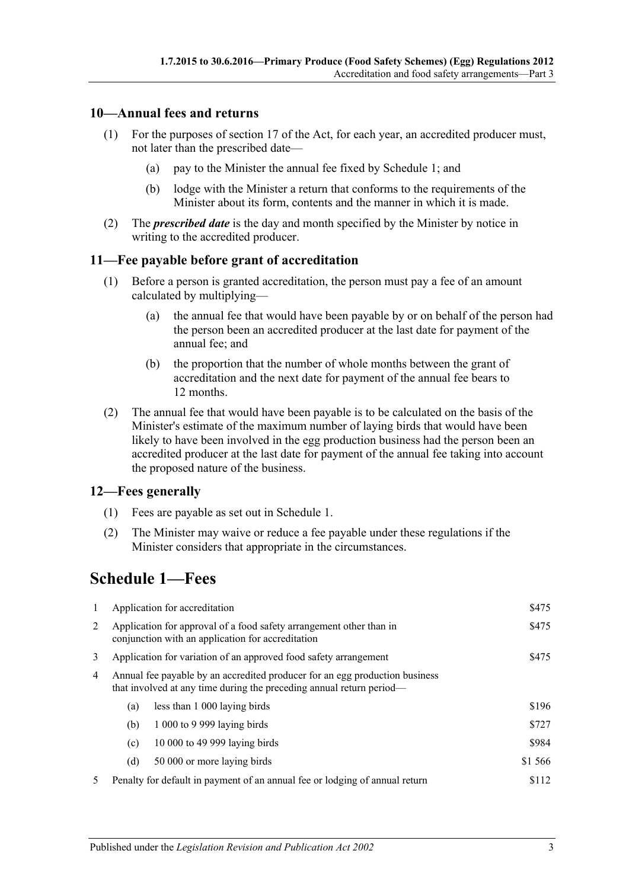### <span id="page-2-0"></span>**10—Annual fees and returns**

- (1) For the purposes of section 17 of the Act, for each year, an accredited producer must, not later than the prescribed date—
	- (a) pay to the Minister the annual fee fixed by Schedule 1; and
	- (b) lodge with the Minister a return that conforms to the requirements of the Minister about its form, contents and the manner in which it is made.
- (2) The *prescribed date* is the day and month specified by the Minister by notice in writing to the accredited producer.

#### <span id="page-2-1"></span>**11—Fee payable before grant of accreditation**

- (1) Before a person is granted accreditation, the person must pay a fee of an amount calculated by multiplying—
	- (a) the annual fee that would have been payable by or on behalf of the person had the person been an accredited producer at the last date for payment of the annual fee; and
	- (b) the proportion that the number of whole months between the grant of accreditation and the next date for payment of the annual fee bears to 12 months.
- (2) The annual fee that would have been payable is to be calculated on the basis of the Minister's estimate of the maximum number of laying birds that would have been likely to have been involved in the egg production business had the person been an accredited producer at the last date for payment of the annual fee taking into account the proposed nature of the business.

#### <span id="page-2-2"></span>**12—Fees generally**

- (1) Fees are payable as set out in Schedule 1.
- (2) The Minister may waive or reduce a fee payable under these regulations if the Minister considers that appropriate in the circumstances.

# <span id="page-2-3"></span>**Schedule 1—Fees**

| -1             | Application for accreditation                                                                                                                       |                                                                             | \$475   |
|----------------|-----------------------------------------------------------------------------------------------------------------------------------------------------|-----------------------------------------------------------------------------|---------|
| 2              | Application for approval of a food safety arrangement other than in<br>conjunction with an application for accreditation                            |                                                                             | \$475   |
| 3              | Application for variation of an approved food safety arrangement                                                                                    |                                                                             | \$475   |
| $\overline{4}$ | Annual fee payable by an accredited producer for an egg production business<br>that involved at any time during the preceding annual return period— |                                                                             |         |
|                | (a)                                                                                                                                                 | less than 1 000 laying birds                                                | \$196   |
|                | (b)                                                                                                                                                 | 1 000 to 9 999 laying birds                                                 | \$727   |
|                | (c)                                                                                                                                                 | 10 000 to 49 999 laying birds                                               | \$984   |
|                | (d)                                                                                                                                                 | 50 000 or more laying birds                                                 | \$1 566 |
| 5              |                                                                                                                                                     | Penalty for default in payment of an annual fee or lodging of annual return | \$112   |